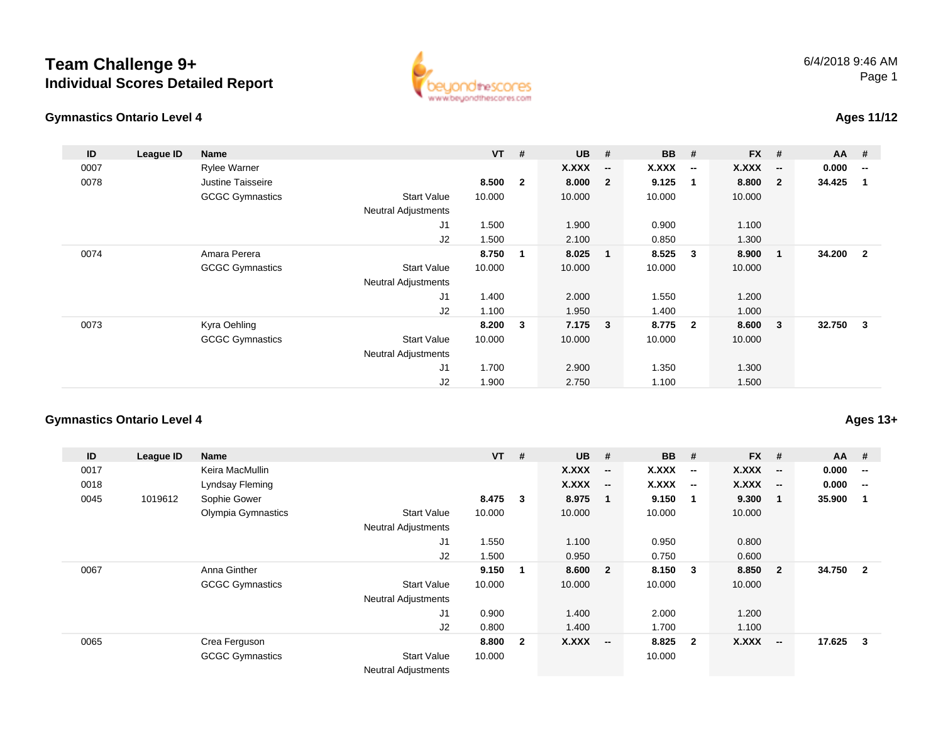## **Team Challenge 9+Individual Scores Detailed Report**





## **Ages 11/12**

| ID   | League ID | Name                   |                            | $VT$ # |                | <b>UB</b> | #                        | <b>BB</b> | #                        | <b>FX</b> | #                        | <b>AA</b> | - #                      |
|------|-----------|------------------------|----------------------------|--------|----------------|-----------|--------------------------|-----------|--------------------------|-----------|--------------------------|-----------|--------------------------|
| 0007 |           | <b>Rylee Warner</b>    |                            |        |                | X.XXX     | $\overline{\phantom{a}}$ | X.XXX     | $\overline{\phantom{a}}$ | X.XXX     | $\overline{\phantom{a}}$ | 0.000     | $\overline{\phantom{a}}$ |
| 0078 |           | Justine Taisseire      |                            | 8.500  | $\overline{2}$ | 8.000     | $\overline{2}$           | 9.125     | $\overline{1}$           | 8.800     | $\overline{\mathbf{2}}$  | 34.425    | -1                       |
|      |           | <b>GCGC Gymnastics</b> | Start Value                | 10.000 |                | 10.000    |                          | 10.000    |                          | 10.000    |                          |           |                          |
|      |           |                        | Neutral Adjustments        |        |                |           |                          |           |                          |           |                          |           |                          |
|      |           |                        | J1                         | 1.500  |                | 1.900     |                          | 0.900     |                          | 1.100     |                          |           |                          |
|      |           |                        | J2                         | 1.500  |                | 2.100     |                          | 0.850     |                          | 1.300     |                          |           |                          |
| 0074 |           | Amara Perera           |                            | 8.750  | 1              | 8.025     | $\overline{\mathbf{1}}$  | 8.525     | $\mathbf{3}$             | 8.900     | - 1                      | 34.200    | $\overline{\mathbf{2}}$  |
|      |           | <b>GCGC Gymnastics</b> | Start Value                | 10.000 |                | 10.000    |                          | 10.000    |                          | 10.000    |                          |           |                          |
|      |           |                        | Neutral Adjustments        |        |                |           |                          |           |                          |           |                          |           |                          |
|      |           |                        | J1                         | 1.400  |                | 2.000     |                          | 1.550     |                          | 1.200     |                          |           |                          |
|      |           |                        | J2                         | 1.100  |                | 1.950     |                          | 1.400     |                          | 1.000     |                          |           |                          |
| 0073 |           | Kyra Oehling           |                            | 8.200  | 3              | 7.175     | $\overline{\mathbf{3}}$  | 8.775     | $\overline{\mathbf{2}}$  | 8.600     | $\overline{\mathbf{3}}$  | 32.750    | - 3                      |
|      |           | <b>GCGC Gymnastics</b> | Start Value                | 10.000 |                | 10.000    |                          | 10.000    |                          | 10.000    |                          |           |                          |
|      |           |                        | <b>Neutral Adjustments</b> |        |                |           |                          |           |                          |           |                          |           |                          |
|      |           |                        | J1                         | 1.700  |                | 2.900     |                          | 1.350     |                          | 1.300     |                          |           |                          |
|      |           |                        | J <sub>2</sub>             | 1.900  |                | 2.750     |                          | 1.100     |                          | 1.500     |                          |           |                          |

## **Gymnastics Ontario Level 4**

| ID   | League ID | Name                   |                            | <b>VT</b> | #              | <b>UB</b> | #                        | <b>BB</b> | #                        | <b>FX</b> | #                        | <b>AA</b> | #                        |
|------|-----------|------------------------|----------------------------|-----------|----------------|-----------|--------------------------|-----------|--------------------------|-----------|--------------------------|-----------|--------------------------|
| 0017 |           | Keira MacMullin        |                            |           |                | X.XXX     | $\overline{\phantom{a}}$ | X.XXX     | $\overline{\phantom{a}}$ | X.XXX     | $\overline{\phantom{a}}$ | 0.000     | $\overline{\phantom{a}}$ |
| 0018 |           | Lyndsay Fleming        |                            |           |                | X.XXX     | $\overline{\phantom{a}}$ | X.XXX     | $\overline{\phantom{a}}$ | X.XXX     | $\overline{\phantom{a}}$ | 0.000     | $-$                      |
| 0045 | 1019612   | Sophie Gower           |                            | 8.475     | 3              | 8.975     | $\mathbf 1$              | 9.150     | $\mathbf 1$              | 9.300     | $\mathbf 1$              | 35.900    | -1                       |
|      |           | Olympia Gymnastics     | <b>Start Value</b>         | 10.000    |                | 10.000    |                          | 10.000    |                          | 10.000    |                          |           |                          |
|      |           |                        | <b>Neutral Adjustments</b> |           |                |           |                          |           |                          |           |                          |           |                          |
|      |           |                        | J <sub>1</sub>             | 1.550     |                | 1.100     |                          | 0.950     |                          | 0.800     |                          |           |                          |
|      |           |                        | J2                         | 1.500     |                | 0.950     |                          | 0.750     |                          | 0.600     |                          |           |                          |
| 0067 |           | Anna Ginther           |                            | 9.150     | -1             | 8.600     | $\overline{2}$           | 8.150     | 3                        | 8.850     | $\overline{2}$           | 34.750    | $\overline{\mathbf{2}}$  |
|      |           | <b>GCGC Gymnastics</b> | <b>Start Value</b>         | 10.000    |                | 10.000    |                          | 10.000    |                          | 10.000    |                          |           |                          |
|      |           |                        | <b>Neutral Adjustments</b> |           |                |           |                          |           |                          |           |                          |           |                          |
|      |           |                        | J1                         | 0.900     |                | 1.400     |                          | 2.000     |                          | 1.200     |                          |           |                          |
|      |           |                        | J2                         | 0.800     |                | 1.400     |                          | 1.700     |                          | 1.100     |                          |           |                          |
| 0065 |           | Crea Ferguson          |                            | 8.800     | $\overline{2}$ | X.XXX     | $\overline{\phantom{a}}$ | 8.825     | $\overline{2}$           | X.XXX     | $\overline{\phantom{a}}$ | 17.625    | $\overline{\mathbf{3}}$  |
|      |           | <b>GCGC Gymnastics</b> | <b>Start Value</b>         | 10.000    |                |           |                          | 10.000    |                          |           |                          |           |                          |
|      |           |                        | <b>Neutral Adjustments</b> |           |                |           |                          |           |                          |           |                          |           |                          |

**Ages 13+**